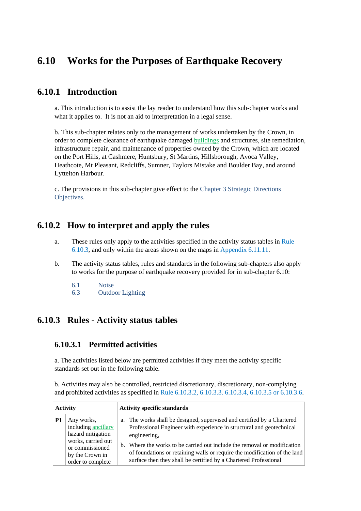# **6.10 Works for the Purposes of Earthquake Recovery**

### **6.10.1 Introduction**

a. This introduction is to assist the lay reader to understand how this sub-chapter works and what it applies to. It is not an aid to interpretation in a legal sense.

b. This sub-chapter relates only to the management of works undertaken by the Crown, in order to complete clearance of earthquake damaged buildings and structures, site remediation, infrastructure repair, and maintenance of properties owned by the Crown, which are located on the Port Hills, at Cashmere, Huntsbury, St Martins, Hillsborough, Avoca Valley, Heathcote, Mt Pleasant, Redcliffs, Sumner, Taylors Mistake and Boulder Bay, and around Lyttelton Harbour.

c. The provisions in this sub-chapter give effect to the Chapter 3 Strategic Directions Objectives.

### **6.10.2 How to interpret and apply the rules**

- a. These rules only apply to the activities specified in the activity status tables in Rule 6.10.3, and only within the areas shown on the maps in Appendix 6.11.11.
- b. The activity status tables, rules and standards in the following sub-chapters also apply to works for the purpose of earthquake recovery provided for in sub-chapter 6.10:
	- 6.1 Noise
	- 6.3 Outdoor Lighting

### **6.10.3 Rules - Activity status tables**

#### **6.10.3.1 Permitted activities**

a. The activities listed below are permitted activities if they meet the activity specific standards set out in the following table.

b. Activities may also be controlled, restricted discretionary, discretionary, non-complying and prohibited activities as specified in Rule 6.10.3.2, 6.10.3.3. 6.10.3.4, 6.10.3.5 or 6.10.3.6.

| <b>Activity</b> |                                                                                                                                         | <b>Activity specific standards</b> |                                                                                                                                                                                                                                                                                                                                                                                              |
|-----------------|-----------------------------------------------------------------------------------------------------------------------------------------|------------------------------------|----------------------------------------------------------------------------------------------------------------------------------------------------------------------------------------------------------------------------------------------------------------------------------------------------------------------------------------------------------------------------------------------|
| P1              | Any works,<br>including ancillary<br>hazard mitigation<br>works, carried out<br>or commissioned<br>by the Crown in<br>order to complete |                                    | a. The works shall be designed, supervised and certified by a Chartered<br>Professional Engineer with experience in structural and geotechnical<br>engineering,<br>b. Where the works to be carried out include the removal or modification<br>of foundations or retaining walls or require the modification of the land<br>surface then they shall be certified by a Chartered Professional |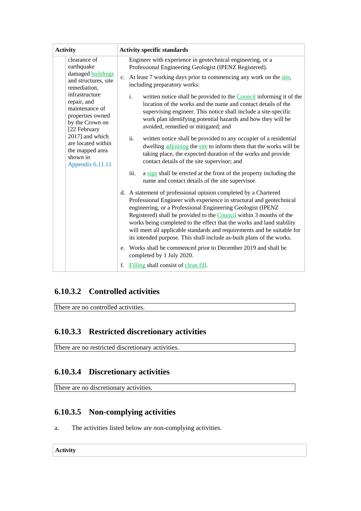| <b>Activity</b>                                                                                        | <b>Activity specific standards</b>                                                                                                                                                                                                                                                                                                                                                                                                                                                                         |  |  |
|--------------------------------------------------------------------------------------------------------|------------------------------------------------------------------------------------------------------------------------------------------------------------------------------------------------------------------------------------------------------------------------------------------------------------------------------------------------------------------------------------------------------------------------------------------------------------------------------------------------------------|--|--|
| clearance of<br>earthquake                                                                             | Engineer with experience in geotechnical engineering, or a<br>Professional Engineering Geologist (IPENZ Registered).                                                                                                                                                                                                                                                                                                                                                                                       |  |  |
| damaged buildings<br>and structures, site<br>remediation,                                              | c. At least 7 working days prior to commencing any work on the site,<br>including preparatory works:                                                                                                                                                                                                                                                                                                                                                                                                       |  |  |
| infrastructure<br>repair, and<br>maintenance of<br>properties owned<br>by the Crown on<br>[22 February | i.<br>written notice shall be provided to the Council informing it of the<br>location of the works and the name and contact details of the<br>supervising engineer. This notice shall include a site-specific<br>work plan identifying potential hazards and how they will be<br>avoided, remedied or mitigated; and                                                                                                                                                                                       |  |  |
| 2017] and which<br>are located within<br>the mapped area<br>shown in<br>Appendix 6.11.11               | ii.<br>written notice shall be provided to any occupier of a residential<br>dwelling adjoining the site to inform them that the works will be<br>taking place, the expected duration of the works and provide<br>contact details of the site supervisor; and                                                                                                                                                                                                                                               |  |  |
|                                                                                                        | iii.<br>a sign shall be erected at the front of the property including the<br>name and contact details of the site supervisor.                                                                                                                                                                                                                                                                                                                                                                             |  |  |
|                                                                                                        | d. A statement of professional opinion completed by a Chartered<br>Professional Engineer with experience in structural and geotechnical<br>engineering, or a Professional Engineering Geologist (IPENZ<br>Registered) shall be provided to the Council within 3 months of the<br>works being completed to the effect that the works and land stability<br>will meet all applicable standards and requirements and be suitable for<br>its intended purpose. This shall include as-built plans of the works. |  |  |
|                                                                                                        | e. Works shall be commenced prior to December 2019 and shall be<br>completed by 1 July 2020.                                                                                                                                                                                                                                                                                                                                                                                                               |  |  |
|                                                                                                        | f.<br>Filling shall consist of clean fill.                                                                                                                                                                                                                                                                                                                                                                                                                                                                 |  |  |

# **6.10.3.2 Controlled activities**

There are no controlled activities.

# **6.10.3.3 Restricted discretionary activities**

There are no restricted discretionary activities.

#### **6.10.3.4 Discretionary activities**

There are no discretionary activities.

# **6.10.3.5 Non-complying activities**

a. The activities listed below are non-complying activities.